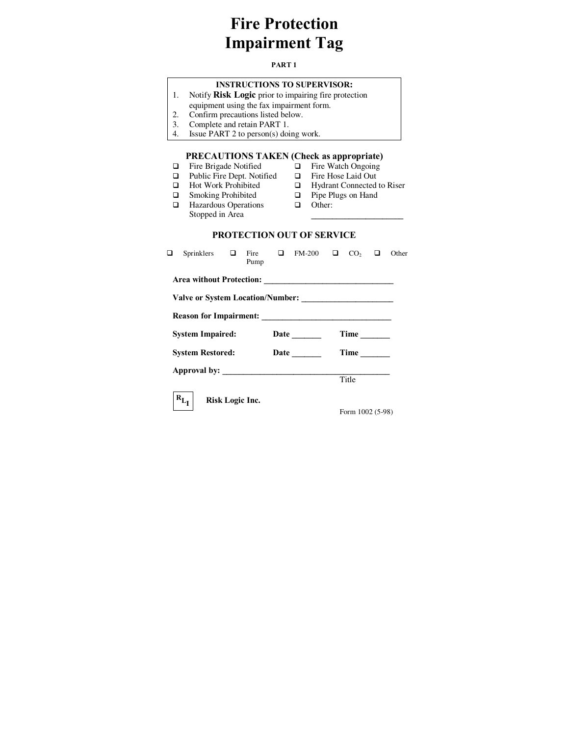## **Fire Protection Impairment Tag**

#### **PART 1**

### **INSTRUCTIONS TO SUPERVISOR:**

- 1. Notify **Risk Logic** prior to impairing fire protection
- equipment using the fax impairment form.
- 2. Confirm precautions listed below.
- 3. Complete and retain PART 1.<br>4. Issue PART 2 to person(s) doi
- Issue PART 2 to person(s) doing work.

# **PRECAUTIONS TAKEN (Check as appropriate)**<br>Fire Brigade Notified  $\Box$  Fire Watch Ongoing

- $\Box$  Fire Brigade Notified  $\Box$  Fire Watch Ongoing  $\Box$  Public Fire Dept. Notified  $\Box$  Fire Hose Laid Out
	-
- $\Box \quad \text{Public Fire Dept. Notified} \quad \Box$   $\Box \quad \text{Hot Work Probibited} \quad \Box$
- $\Box$  Smoking Prohibited
- $\Box$  Hydrant Connected to Riser  $\Box$  Pipe Plugs on Hand
- **q** Hazardous Operations
- **Q** Other:

**\_\_\_\_\_\_\_\_\_\_\_\_\_\_\_\_\_\_\_\_\_\_**

- Stopped in Area
	- **PROTECTION OUT OF SERVICE**

| ◻                       | Sprinklers $\Box$ |                 | Pump |  | Fire $\Box$ FM-200 $\Box$ CO <sub>2</sub> |      |                           |  | Other |  |  |
|-------------------------|-------------------|-----------------|------|--|-------------------------------------------|------|---------------------------|--|-------|--|--|
|                         |                   |                 |      |  |                                           |      |                           |  |       |  |  |
|                         |                   |                 |      |  |                                           |      |                           |  |       |  |  |
|                         |                   |                 |      |  |                                           |      |                           |  |       |  |  |
| <b>System Impaired:</b> |                   |                 |      |  |                                           | Time |                           |  |       |  |  |
| <b>System Restored:</b> |                   |                 |      |  | <b>Date</b>                               | Time |                           |  |       |  |  |
|                         |                   |                 |      |  |                                           |      |                           |  |       |  |  |
|                         |                   |                 |      |  |                                           |      | Title                     |  |       |  |  |
|                         | $R_{L_J}$         | Risk Logic Inc. |      |  |                                           |      | $L_{\rm atm}$ 1002 (5.08) |  |       |  |  |

Form 1002 (5-98)